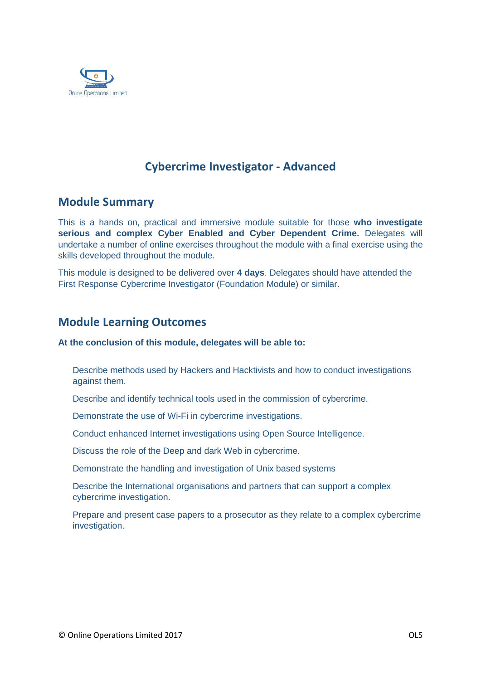

# **Cybercrime Investigator - Advanced**

## **Module Summary**

This is a hands on, practical and immersive module suitable for those **who investigate serious and complex Cyber Enabled and Cyber Dependent Crime.** Delegates will undertake a number of online exercises throughout the module with a final exercise using the skills developed throughout the module.

This module is designed to be delivered over **4 days**. Delegates should have attended the First Response Cybercrime Investigator (Foundation Module) or similar.

## **Module Learning Outcomes**

#### **At the conclusion of this module, delegates will be able to:**

Describe methods used by Hackers and Hacktivists and how to conduct investigations against them.

Describe and identify technical tools used in the commission of cybercrime.

Demonstrate the use of Wi-Fi in cybercrime investigations.

Conduct enhanced Internet investigations using Open Source Intelligence.

Discuss the role of the Deep and dark Web in cybercrime.

Demonstrate the handling and investigation of Unix based systems

Describe the International organisations and partners that can support a complex cybercrime investigation.

Prepare and present case papers to a prosecutor as they relate to a complex cybercrime investigation.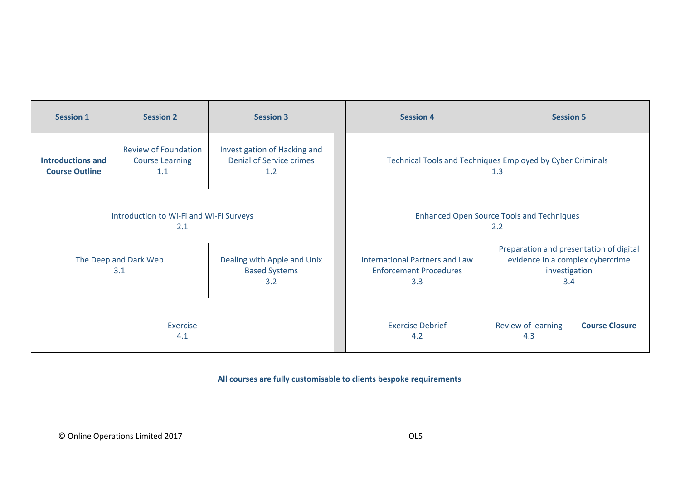| <b>Session 1</b>                                  | <b>Session 2</b>                                             | <b>Session 3</b>                                                       | <b>Session 4</b><br><b>Session 5</b>                                          |                                                                                                     |                       |
|---------------------------------------------------|--------------------------------------------------------------|------------------------------------------------------------------------|-------------------------------------------------------------------------------|-----------------------------------------------------------------------------------------------------|-----------------------|
| <b>Introductions and</b><br><b>Course Outline</b> | <b>Review of Foundation</b><br><b>Course Learning</b><br>1.1 | Investigation of Hacking and<br><b>Denial of Service crimes</b><br>1.2 | Technical Tools and Techniques Employed by Cyber Criminals<br>1.3             |                                                                                                     |                       |
| Introduction to Wi-Fi and Wi-Fi Surveys<br>2.1    |                                                              |                                                                        | <b>Enhanced Open Source Tools and Techniques</b><br>2.2                       |                                                                                                     |                       |
| The Deep and Dark Web<br>3.1                      |                                                              | Dealing with Apple and Unix<br><b>Based Systems</b><br>3.2             | <b>International Partners and Law</b><br><b>Enforcement Procedures</b><br>3.3 | Preparation and presentation of digital<br>evidence in a complex cybercrime<br>investigation<br>3.4 |                       |
| Exercise<br>4.1                                   |                                                              |                                                                        | <b>Exercise Debrief</b><br>4.2                                                | Review of learning<br>4.3                                                                           | <b>Course Closure</b> |

**All courses are fully customisable to clients bespoke requirements**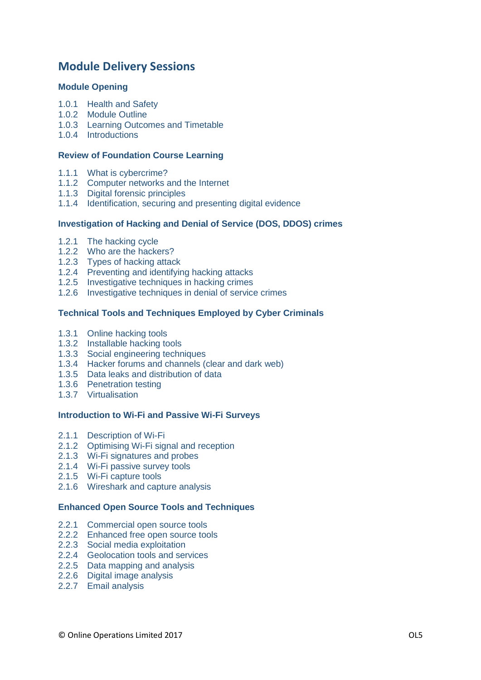# **Module Delivery Sessions**

## **Module Opening**

- 1.0.1 Health and Safety
- 1.0.2 Module Outline
- 1.0.3 Learning Outcomes and Timetable
- 1.0.4 Introductions

## **Review of Foundation Course Learning**

- 1.1.1 What is cybercrime?
- 1.1.2 Computer networks and the Internet
- 1.1.3 Digital forensic principles
- 1.1.4 Identification, securing and presenting digital evidence

## **Investigation of Hacking and Denial of Service (DOS, DDOS) crimes**

- 1.2.1 The hacking cycle
- 1.2.2 Who are the hackers?
- 1.2.3 Types of hacking attack
- 1.2.4 Preventing and identifying hacking attacks
- 1.2.5 Investigative techniques in hacking crimes
- 1.2.6 Investigative techniques in denial of service crimes

## **Technical Tools and Techniques Employed by Cyber Criminals**

- 1.3.1 Online hacking tools
- 1.3.2 Installable hacking tools
- 1.3.3 Social engineering techniques
- 1.3.4 Hacker forums and channels (clear and dark web)
- 1.3.5 Data leaks and distribution of data
- 1.3.6 Penetration testing
- 1.3.7 Virtualisation

#### **Introduction to Wi-Fi and Passive Wi-Fi Surveys**

- 2.1.1 Description of Wi-Fi
- 2.1.2 Optimising Wi-Fi signal and reception
- 2.1.3 Wi-Fi signatures and probes
- 2.1.4 Wi-Fi passive survey tools
- 2.1.5 Wi-Fi capture tools
- 2.1.6 Wireshark and capture analysis

## **Enhanced Open Source Tools and Techniques**

- 2.2.1 Commercial open source tools
- 2.2.2 Enhanced free open source tools
- 2.2.3 Social media exploitation
- 2.2.4 Geolocation tools and services
- 2.2.5 Data mapping and analysis
- 2.2.6 Digital image analysis
- 2.2.7 Email analysis